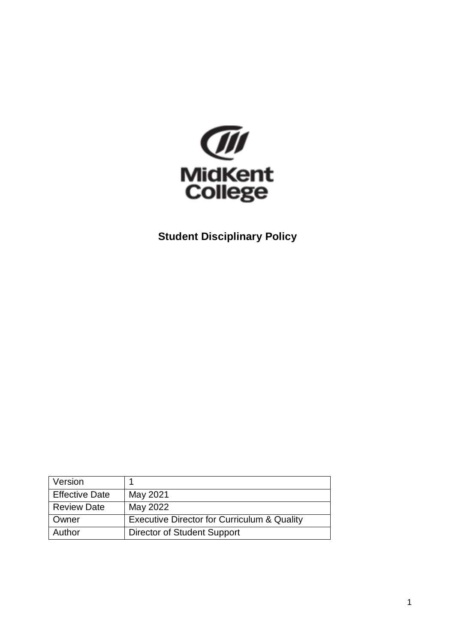

**Student Disciplinary Policy** 

| Version               |                                                        |
|-----------------------|--------------------------------------------------------|
| <b>Effective Date</b> | May 2021                                               |
| <b>Review Date</b>    | May 2022                                               |
| Owner                 | <b>Executive Director for Curriculum &amp; Quality</b> |
| Author                | Director of Student Support                            |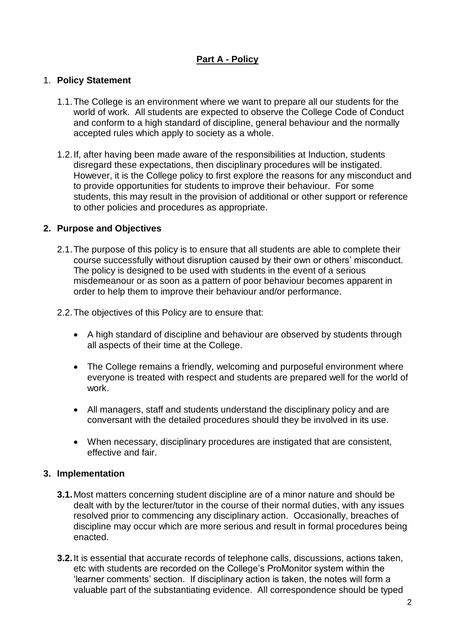# **Part A - Policy**

#### 1. **Policy Statement**

- 1.1.The College is an environment where we want to prepare all our students for the world of work. All students are expected to observe the College Code of Conduct and conform to a high standard of discipline, general behaviour and the normally accepted rules which apply to society as a whole.
- 1.2.If, after having been made aware of the responsibilities at Induction, students disregard these expectations, then disciplinary procedures will be instigated. However, it is the College policy to first explore the reasons for any misconduct and to provide opportunities for students to improve their behaviour. For some students, this may result in the provision of additional or other support or reference to other policies and procedures as appropriate.

#### **2. Purpose and Objectives**

- 2.1.The purpose of this policy is to ensure that all students are able to complete their course successfully without disruption caused by their own or others' misconduct. The policy is designed to be used with students in the event of a serious misdemeanour or as soon as a pattern of poor behaviour becomes apparent in order to help them to improve their behaviour and/or performance.
- 2.2.The objectives of this Policy are to ensure that:
	- A high standard of discipline and behaviour are observed by students through all aspects of their time at the College.
	- The College remains a friendly, welcoming and purposeful environment where everyone is treated with respect and students are prepared well for the world of work.
	- All managers, staff and students understand the disciplinary policy and are conversant with the detailed procedures should they be involved in its use.
	- When necessary, disciplinary procedures are instigated that are consistent, effective and fair.

#### **3. Implementation**

- **3.1.**Most matters concerning student discipline are of a minor nature and should be dealt with by the lecturer/tutor in the course of their normal duties, with any issues resolved prior to commencing any disciplinary action. Occasionally, breaches of discipline may occur which are more serious and result in formal procedures being enacted.
- **3.2.**It is essential that accurate records of telephone calls, discussions, actions taken, etc with students are recorded on the College's ProMonitor system within the 'learner comments' section. If disciplinary action is taken, the notes will form a valuable part of the substantiating evidence. All correspondence should be typed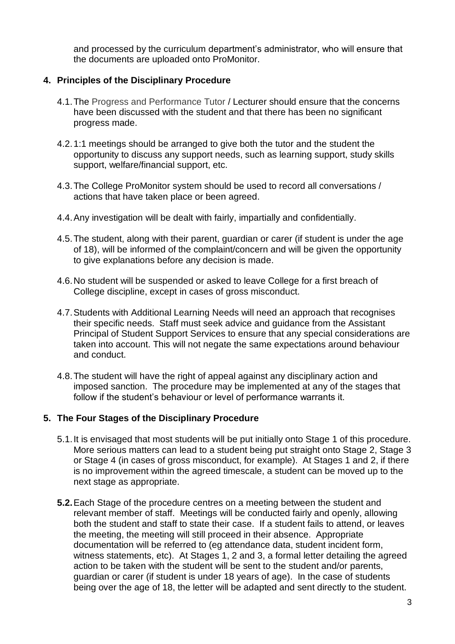and processed by the curriculum department's administrator, who will ensure that the documents are uploaded onto ProMonitor.

### **4. Principles of the Disciplinary Procedure**

- 4.1.The Progress and Performance Tutor / Lecturer should ensure that the concerns have been discussed with the student and that there has been no significant progress made.
- 4.2.1:1 meetings should be arranged to give both the tutor and the student the opportunity to discuss any support needs, such as learning support, study skills support, welfare/financial support, etc.
- 4.3.The College ProMonitor system should be used to record all conversations / actions that have taken place or been agreed.
- 4.4.Any investigation will be dealt with fairly, impartially and confidentially.
- 4.5.The student, along with their parent, guardian or carer (if student is under the age of 18), will be informed of the complaint/concern and will be given the opportunity to give explanations before any decision is made.
- 4.6.No student will be suspended or asked to leave College for a first breach of College discipline, except in cases of gross misconduct.
- 4.7.Students with Additional Learning Needs will need an approach that recognises their specific needs. Staff must seek advice and guidance from the Assistant Principal of Student Support Services to ensure that any special considerations are taken into account. This will not negate the same expectations around behaviour and conduct.
- 4.8.The student will have the right of appeal against any disciplinary action and imposed sanction. The procedure may be implemented at any of the stages that follow if the student's behaviour or level of performance warrants it.

## **5. The Four Stages of the Disciplinary Procedure**

- 5.1.It is envisaged that most students will be put initially onto Stage 1 of this procedure. More serious matters can lead to a student being put straight onto Stage 2, Stage 3 or Stage 4 (in cases of gross misconduct, for example). At Stages 1 and 2, if there is no improvement within the agreed timescale, a student can be moved up to the next stage as appropriate.
- **5.2.**Each Stage of the procedure centres on a meeting between the student and relevant member of staff. Meetings will be conducted fairly and openly, allowing both the student and staff to state their case. If a student fails to attend, or leaves the meeting, the meeting will still proceed in their absence. Appropriate documentation will be referred to (eg attendance data, student incident form, witness statements, etc). At Stages 1, 2 and 3, a formal letter detailing the agreed action to be taken with the student will be sent to the student and/or parents, guardian or carer (if student is under 18 years of age). In the case of students being over the age of 18, the letter will be adapted and sent directly to the student.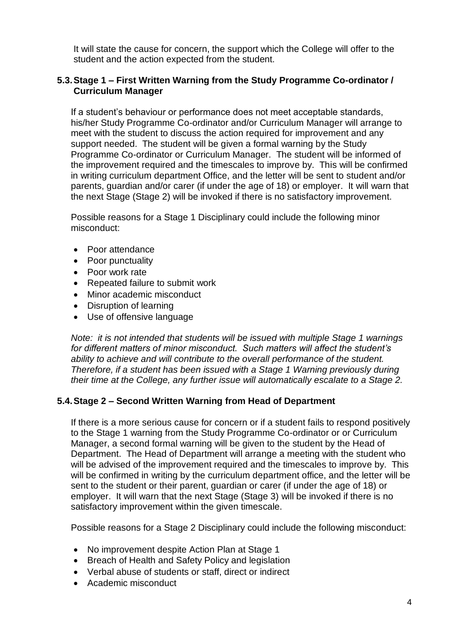It will state the cause for concern, the support which the College will offer to the student and the action expected from the student.

#### **5.3.Stage 1 – First Written Warning from the Study Programme Co-ordinator / Curriculum Manager**

If a student's behaviour or performance does not meet acceptable standards, his/her Study Programme Co-ordinator and/or Curriculum Manager will arrange to meet with the student to discuss the action required for improvement and any support needed. The student will be given a formal warning by the Study Programme Co-ordinator or Curriculum Manager. The student will be informed of the improvement required and the timescales to improve by. This will be confirmed in writing curriculum department Office, and the letter will be sent to student and/or parents, guardian and/or carer (if under the age of 18) or employer. It will warn that the next Stage (Stage 2) will be invoked if there is no satisfactory improvement.

Possible reasons for a Stage 1 Disciplinary could include the following minor misconduct:

- Poor attendance
- Poor punctuality
- Poor work rate
- Repeated failure to submit work
- Minor academic misconduct
- Disruption of learning
- Use of offensive language

*Note: it is not intended that students will be issued with multiple Stage 1 warnings for different matters of minor misconduct. Such matters will affect the student's ability to achieve and will contribute to the overall performance of the student. Therefore, if a student has been issued with a Stage 1 Warning previously during their time at the College, any further issue will automatically escalate to a Stage 2.* 

## **5.4.Stage 2 – Second Written Warning from Head of Department**

If there is a more serious cause for concern or if a student fails to respond positively to the Stage 1 warning from the Study Programme Co-ordinator or or Curriculum Manager, a second formal warning will be given to the student by the Head of Department. The Head of Department will arrange a meeting with the student who will be advised of the improvement required and the timescales to improve by. This will be confirmed in writing by the curriculum department office, and the letter will be sent to the student or their parent, guardian or carer (if under the age of 18) or employer. It will warn that the next Stage (Stage 3) will be invoked if there is no satisfactory improvement within the given timescale.

Possible reasons for a Stage 2 Disciplinary could include the following misconduct:

- No improvement despite Action Plan at Stage 1
- Breach of Health and Safety Policy and legislation
- Verbal abuse of students or staff, direct or indirect
- Academic misconduct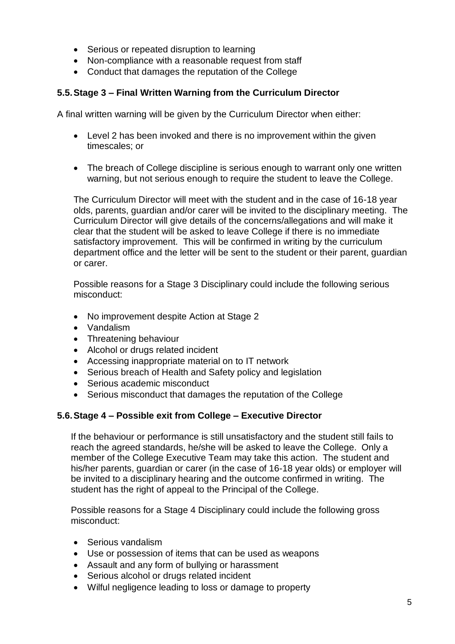- Serious or repeated disruption to learning
- Non-compliance with a reasonable request from staff
- Conduct that damages the reputation of the College

# **5.5.Stage 3 – Final Written Warning from the Curriculum Director**

A final written warning will be given by the Curriculum Director when either:

- Level 2 has been invoked and there is no improvement within the given timescales; or
- The breach of College discipline is serious enough to warrant only one written warning, but not serious enough to require the student to leave the College.

The Curriculum Director will meet with the student and in the case of 16-18 year olds, parents, guardian and/or carer will be invited to the disciplinary meeting. The Curriculum Director will give details of the concerns/allegations and will make it clear that the student will be asked to leave College if there is no immediate satisfactory improvement. This will be confirmed in writing by the curriculum department office and the letter will be sent to the student or their parent, guardian or carer.

Possible reasons for a Stage 3 Disciplinary could include the following serious misconduct:

- No improvement despite Action at Stage 2
- Vandalism
- Threatening behaviour
- Alcohol or drugs related incident
- Accessing inappropriate material on to IT network
- Serious breach of Health and Safety policy and legislation
- Serious academic misconduct
- Serious misconduct that damages the reputation of the College

# **5.6.Stage 4 – Possible exit from College – Executive Director**

If the behaviour or performance is still unsatisfactory and the student still fails to reach the agreed standards, he/she will be asked to leave the College. Only a member of the College Executive Team may take this action. The student and his/her parents, guardian or carer (in the case of 16-18 year olds) or employer will be invited to a disciplinary hearing and the outcome confirmed in writing. The student has the right of appeal to the Principal of the College.

Possible reasons for a Stage 4 Disciplinary could include the following gross misconduct:

- Serious vandalism
- Use or possession of items that can be used as weapons
- Assault and any form of bullying or harassment
- Serious alcohol or drugs related incident
- Wilful negligence leading to loss or damage to property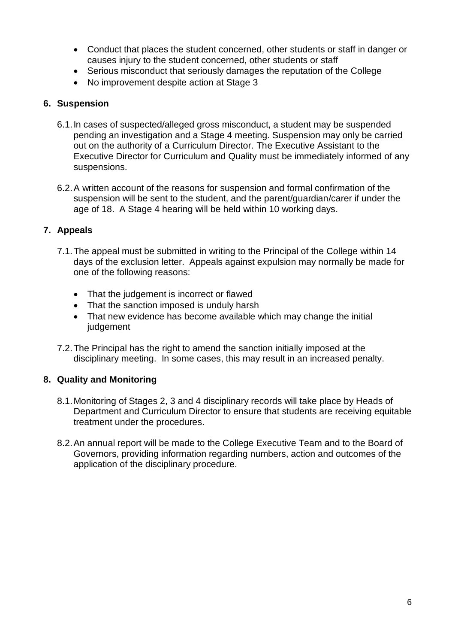- Conduct that places the student concerned, other students or staff in danger or causes injury to the student concerned, other students or staff
- Serious misconduct that seriously damages the reputation of the College
- No improvement despite action at Stage 3

#### **6. Suspension**

- 6.1.In cases of suspected/alleged gross misconduct, a student may be suspended pending an investigation and a Stage 4 meeting. Suspension may only be carried out on the authority of a Curriculum Director. The Executive Assistant to the Executive Director for Curriculum and Quality must be immediately informed of any suspensions.
- 6.2.A written account of the reasons for suspension and formal confirmation of the suspension will be sent to the student, and the parent/guardian/carer if under the age of 18. A Stage 4 hearing will be held within 10 working days.

## **7. Appeals**

- 7.1.The appeal must be submitted in writing to the Principal of the College within 14 days of the exclusion letter. Appeals against expulsion may normally be made for one of the following reasons:
	- That the judgement is incorrect or flawed
	- That the sanction imposed is unduly harsh
	- That new evidence has become available which may change the initial judgement
- 7.2.The Principal has the right to amend the sanction initially imposed at the disciplinary meeting. In some cases, this may result in an increased penalty.

## **8. Quality and Monitoring**

- 8.1.Monitoring of Stages 2, 3 and 4 disciplinary records will take place by Heads of Department and Curriculum Director to ensure that students are receiving equitable treatment under the procedures.
- 8.2.An annual report will be made to the College Executive Team and to the Board of Governors, providing information regarding numbers, action and outcomes of the application of the disciplinary procedure.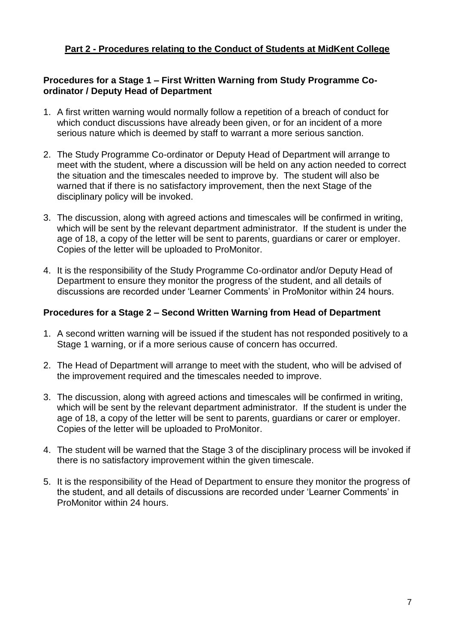## **Part 2 - Procedures relating to the Conduct of Students at MidKent College**

#### **Procedures for a Stage 1 – First Written Warning from Study Programme Coordinator / Deputy Head of Department**

- 1. A first written warning would normally follow a repetition of a breach of conduct for which conduct discussions have already been given, or for an incident of a more serious nature which is deemed by staff to warrant a more serious sanction.
- 2. The Study Programme Co-ordinator or Deputy Head of Department will arrange to meet with the student, where a discussion will be held on any action needed to correct the situation and the timescales needed to improve by. The student will also be warned that if there is no satisfactory improvement, then the next Stage of the disciplinary policy will be invoked.
- 3. The discussion, along with agreed actions and timescales will be confirmed in writing, which will be sent by the relevant department administrator. If the student is under the age of 18, a copy of the letter will be sent to parents, guardians or carer or employer. Copies of the letter will be uploaded to ProMonitor.
- 4. It is the responsibility of the Study Programme Co-ordinator and/or Deputy Head of Department to ensure they monitor the progress of the student, and all details of discussions are recorded under 'Learner Comments' in ProMonitor within 24 hours.

#### **Procedures for a Stage 2 – Second Written Warning from Head of Department**

- 1. A second written warning will be issued if the student has not responded positively to a Stage 1 warning, or if a more serious cause of concern has occurred.
- 2. The Head of Department will arrange to meet with the student, who will be advised of the improvement required and the timescales needed to improve.
- 3. The discussion, along with agreed actions and timescales will be confirmed in writing, which will be sent by the relevant department administrator. If the student is under the age of 18, a copy of the letter will be sent to parents, guardians or carer or employer. Copies of the letter will be uploaded to ProMonitor.
- 4. The student will be warned that the Stage 3 of the disciplinary process will be invoked if there is no satisfactory improvement within the given timescale.
- 5. It is the responsibility of the Head of Department to ensure they monitor the progress of the student, and all details of discussions are recorded under 'Learner Comments' in ProMonitor within 24 hours.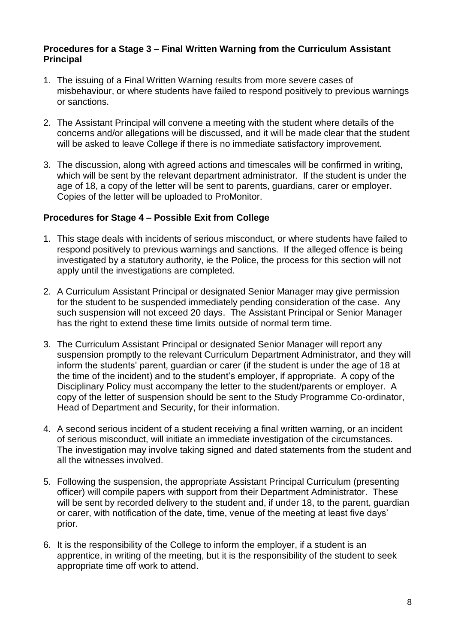#### **Procedures for a Stage 3 – Final Written Warning from the Curriculum Assistant Principal**

- 1. The issuing of a Final Written Warning results from more severe cases of misbehaviour, or where students have failed to respond positively to previous warnings or sanctions.
- 2. The Assistant Principal will convene a meeting with the student where details of the concerns and/or allegations will be discussed, and it will be made clear that the student will be asked to leave College if there is no immediate satisfactory improvement.
- 3. The discussion, along with agreed actions and timescales will be confirmed in writing, which will be sent by the relevant department administrator. If the student is under the age of 18, a copy of the letter will be sent to parents, guardians, carer or employer. Copies of the letter will be uploaded to ProMonitor.

#### **Procedures for Stage 4 – Possible Exit from College**

- 1. This stage deals with incidents of serious misconduct, or where students have failed to respond positively to previous warnings and sanctions. If the alleged offence is being investigated by a statutory authority, ie the Police, the process for this section will not apply until the investigations are completed.
- 2. A Curriculum Assistant Principal or designated Senior Manager may give permission for the student to be suspended immediately pending consideration of the case. Any such suspension will not exceed 20 days. The Assistant Principal or Senior Manager has the right to extend these time limits outside of normal term time.
- 3. The Curriculum Assistant Principal or designated Senior Manager will report any suspension promptly to the relevant Curriculum Department Administrator, and they will inform the students' parent, guardian or carer (if the student is under the age of 18 at the time of the incident) and to the student's employer, if appropriate. A copy of the Disciplinary Policy must accompany the letter to the student/parents or employer. A copy of the letter of suspension should be sent to the Study Programme Co-ordinator, Head of Department and Security, for their information.
- 4. A second serious incident of a student receiving a final written warning, or an incident of serious misconduct, will initiate an immediate investigation of the circumstances. The investigation may involve taking signed and dated statements from the student and all the witnesses involved.
- 5. Following the suspension, the appropriate Assistant Principal Curriculum (presenting officer) will compile papers with support from their Department Administrator. These will be sent by recorded delivery to the student and, if under 18, to the parent, guardian or carer, with notification of the date, time, venue of the meeting at least five days' prior.
- 6. It is the responsibility of the College to inform the employer, if a student is an apprentice, in writing of the meeting, but it is the responsibility of the student to seek appropriate time off work to attend.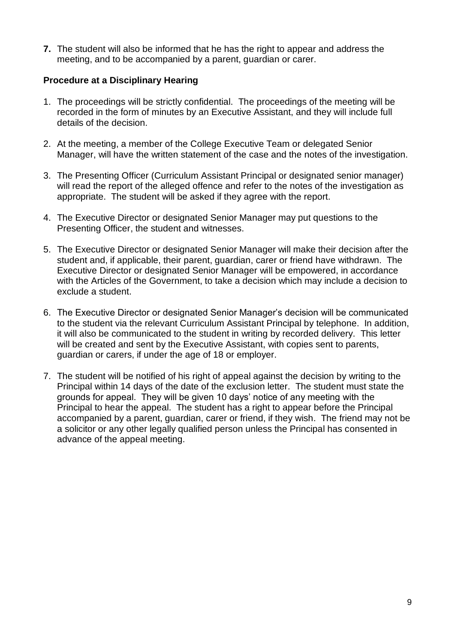**7.** The student will also be informed that he has the right to appear and address the meeting, and to be accompanied by a parent, guardian or carer.

### **Procedure at a Disciplinary Hearing**

- 1. The proceedings will be strictly confidential. The proceedings of the meeting will be recorded in the form of minutes by an Executive Assistant, and they will include full details of the decision.
- 2. At the meeting, a member of the College Executive Team or delegated Senior Manager, will have the written statement of the case and the notes of the investigation.
- 3. The Presenting Officer (Curriculum Assistant Principal or designated senior manager) will read the report of the alleged offence and refer to the notes of the investigation as appropriate. The student will be asked if they agree with the report.
- 4. The Executive Director or designated Senior Manager may put questions to the Presenting Officer, the student and witnesses.
- 5. The Executive Director or designated Senior Manager will make their decision after the student and, if applicable, their parent, guardian, carer or friend have withdrawn. The Executive Director or designated Senior Manager will be empowered, in accordance with the Articles of the Government, to take a decision which may include a decision to exclude a student.
- 6. The Executive Director or designated Senior Manager's decision will be communicated to the student via the relevant Curriculum Assistant Principal by telephone. In addition, it will also be communicated to the student in writing by recorded delivery. This letter will be created and sent by the Executive Assistant, with copies sent to parents, guardian or carers, if under the age of 18 or employer.
- 7. The student will be notified of his right of appeal against the decision by writing to the Principal within 14 days of the date of the exclusion letter. The student must state the grounds for appeal. They will be given 10 days' notice of any meeting with the Principal to hear the appeal. The student has a right to appear before the Principal accompanied by a parent, guardian, carer or friend, if they wish. The friend may not be a solicitor or any other legally qualified person unless the Principal has consented in advance of the appeal meeting.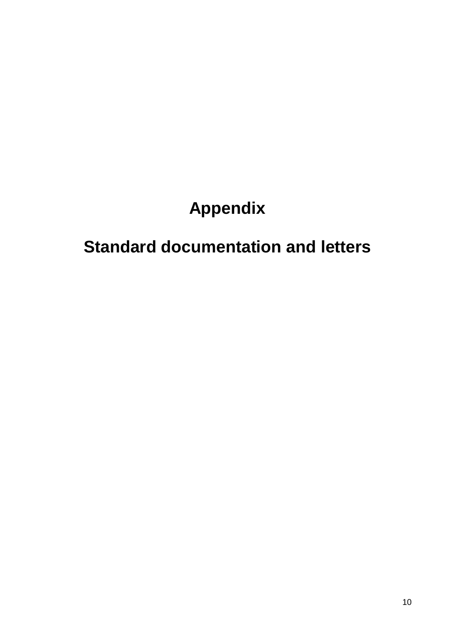# **Appendix**

# **Standard documentation and letters**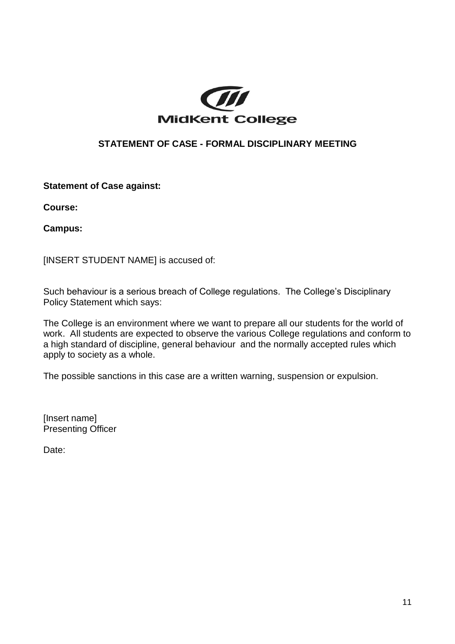

## **STATEMENT OF CASE - FORMAL DISCIPLINARY MEETING**

**Statement of Case against:**

**Course:**

**Campus:**

[INSERT STUDENT NAME] is accused of:

Such behaviour is a serious breach of College regulations. The College's Disciplinary Policy Statement which says:

The College is an environment where we want to prepare all our students for the world of work. All students are expected to observe the various College regulations and conform to a high standard of discipline, general behaviour and the normally accepted rules which apply to society as a whole.

The possible sanctions in this case are a written warning, suspension or expulsion.

[Insert name] Presenting Officer

Date: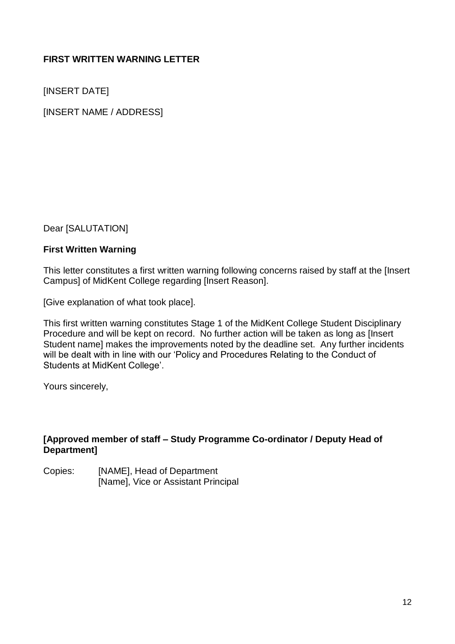# **FIRST WRITTEN WARNING LETTER**

[INSERT DATE]

[INSERT NAME / ADDRESS]

Dear [SALUTATION]

#### **First Written Warning**

This letter constitutes a first written warning following concerns raised by staff at the [Insert Campus] of MidKent College regarding [Insert Reason].

[Give explanation of what took place].

This first written warning constitutes Stage 1 of the MidKent College Student Disciplinary Procedure and will be kept on record. No further action will be taken as long as [Insert Student name] makes the improvements noted by the deadline set. Any further incidents will be dealt with in line with our 'Policy and Procedures Relating to the Conduct of Students at MidKent College'.

Yours sincerely,

#### **[Approved member of staff – Study Programme Co-ordinator / Deputy Head of Department]**

Copies: [NAME], Head of Department [Name], Vice or Assistant Principal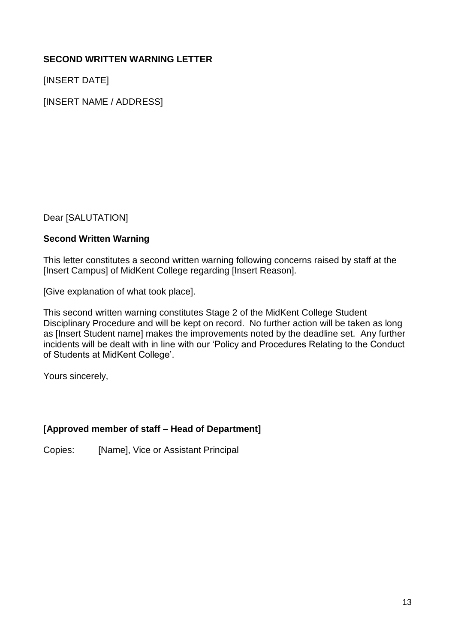# **SECOND WRITTEN WARNING LETTER**

[INSERT DATE]

[INSERT NAME / ADDRESS]

Dear [SALUTATION]

#### **Second Written Warning**

This letter constitutes a second written warning following concerns raised by staff at the [Insert Campus] of MidKent College regarding [Insert Reason].

[Give explanation of what took place].

This second written warning constitutes Stage 2 of the MidKent College Student Disciplinary Procedure and will be kept on record. No further action will be taken as long as [Insert Student name] makes the improvements noted by the deadline set. Any further incidents will be dealt with in line with our 'Policy and Procedures Relating to the Conduct of Students at MidKent College'.

Yours sincerely,

## **[Approved member of staff – Head of Department]**

Copies: [Name], Vice or Assistant Principal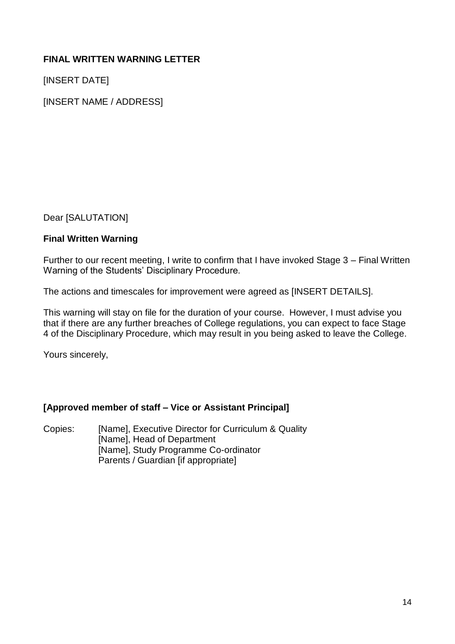# **FINAL WRITTEN WARNING LETTER**

[INSERT DATE]

[INSERT NAME / ADDRESS]

Dear [SALUTATION]

## **Final Written Warning**

Further to our recent meeting, I write to confirm that I have invoked Stage 3 – Final Written Warning of the Students' Disciplinary Procedure.

The actions and timescales for improvement were agreed as [INSERT DETAILS].

This warning will stay on file for the duration of your course. However, I must advise you that if there are any further breaches of College regulations, you can expect to face Stage 4 of the Disciplinary Procedure, which may result in you being asked to leave the College.

Yours sincerely,

## **[Approved member of staff – Vice or Assistant Principal]**

Copies: [Name], Executive Director for Curriculum & Quality [Name], Head of Department [Name], Study Programme Co-ordinator Parents / Guardian [if appropriate]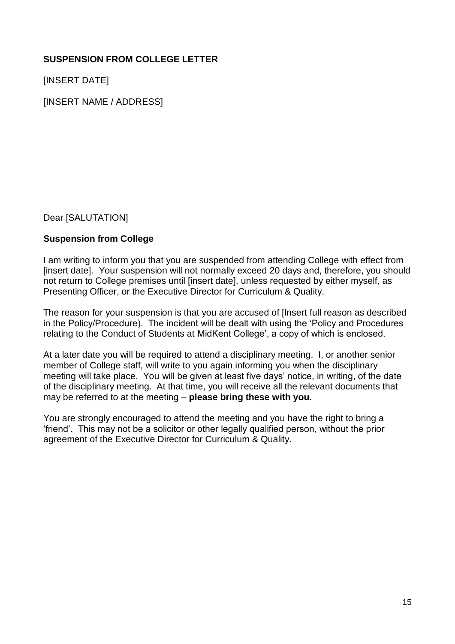# **SUSPENSION FROM COLLEGE LETTER**

[INSERT DATE]

[INSERT NAME / ADDRESS]

Dear [SALUTATION]

#### **Suspension from College**

I am writing to inform you that you are suspended from attending College with effect from [insert date]. Your suspension will not normally exceed 20 days and, therefore, you should not return to College premises until linsert datel, unless requested by either myself, as Presenting Officer, or the Executive Director for Curriculum & Quality.

The reason for your suspension is that you are accused of [Insert full reason as described in the Policy/Procedure). The incident will be dealt with using the 'Policy and Procedures relating to the Conduct of Students at MidKent College', a copy of which is enclosed.

At a later date you will be required to attend a disciplinary meeting. I, or another senior member of College staff, will write to you again informing you when the disciplinary meeting will take place. You will be given at least five days' notice, in writing, of the date of the disciplinary meeting. At that time, you will receive all the relevant documents that may be referred to at the meeting – **please bring these with you.**

You are strongly encouraged to attend the meeting and you have the right to bring a 'friend'. This may not be a solicitor or other legally qualified person, without the prior agreement of the Executive Director for Curriculum & Quality.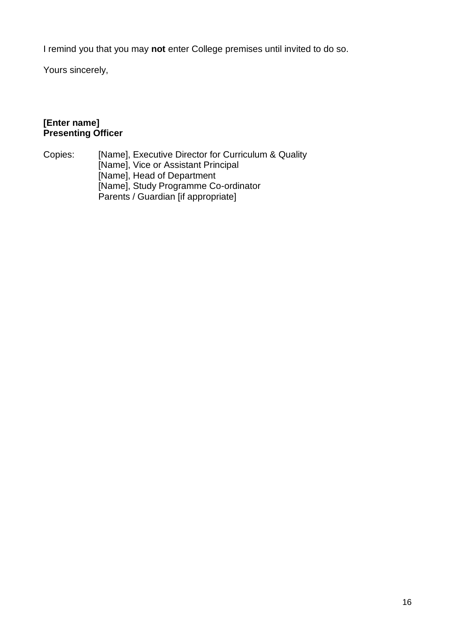I remind you that you may **not** enter College premises until invited to do so.

Yours sincerely,

# **[Enter name] Presenting Officer**

Copies: [Name], Executive Director for Curriculum & Quality [Name], Vice or Assistant Principal [Name], Head of Department [Name], Study Programme Co-ordinator Parents / Guardian [if appropriate]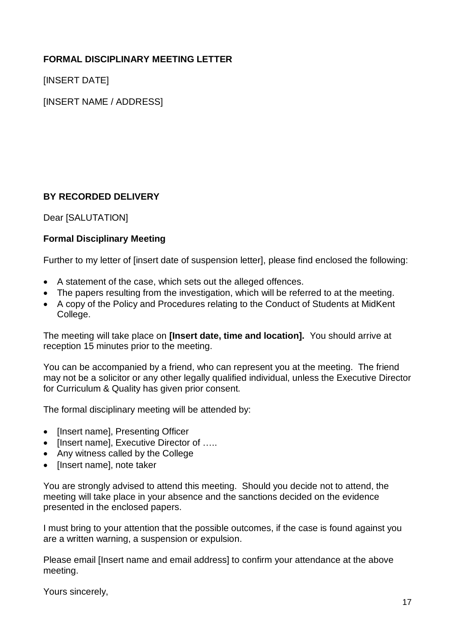# **FORMAL DISCIPLINARY MEETING LETTER**

[INSERT DATE]

[INSERT NAME / ADDRESS]

# **BY RECORDED DELIVERY**

Dear [SALUTATION]

## **Formal Disciplinary Meeting**

Further to my letter of [insert date of suspension letter], please find enclosed the following:

- A statement of the case, which sets out the alleged offences.
- The papers resulting from the investigation, which will be referred to at the meeting.
- A copy of the Policy and Procedures relating to the Conduct of Students at MidKent College.

The meeting will take place on **[Insert date, time and location].** You should arrive at reception 15 minutes prior to the meeting.

You can be accompanied by a friend, who can represent you at the meeting. The friend may not be a solicitor or any other legally qualified individual, unless the Executive Director for Curriculum & Quality has given prior consent.

The formal disciplinary meeting will be attended by:

- [Insert name], Presenting Officer
- [Insert name], Executive Director of …..
- Any witness called by the College
- [Insert name], note taker

You are strongly advised to attend this meeting. Should you decide not to attend, the meeting will take place in your absence and the sanctions decided on the evidence presented in the enclosed papers.

I must bring to your attention that the possible outcomes, if the case is found against you are a written warning, a suspension or expulsion.

Please email [Insert name and email address] to confirm your attendance at the above meeting.

Yours sincerely,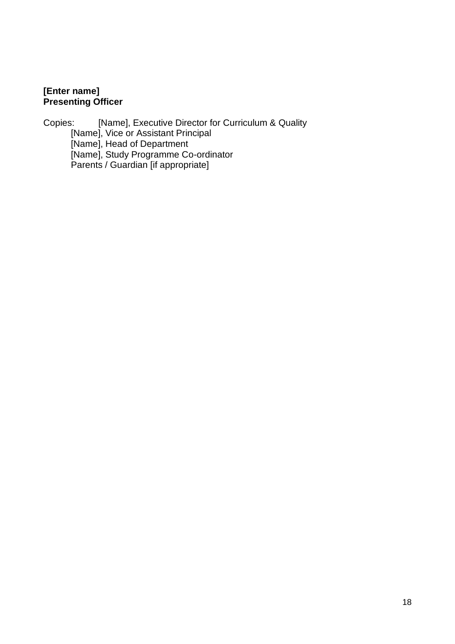# **[Enter name] Presenting Officer**

Copies: [Name], Executive Director for Curriculum & Quality [Name], Vice or Assistant Principal [Name], Head of Department [Name], Study Programme Co-ordinator Parents / Guardian [if appropriate]